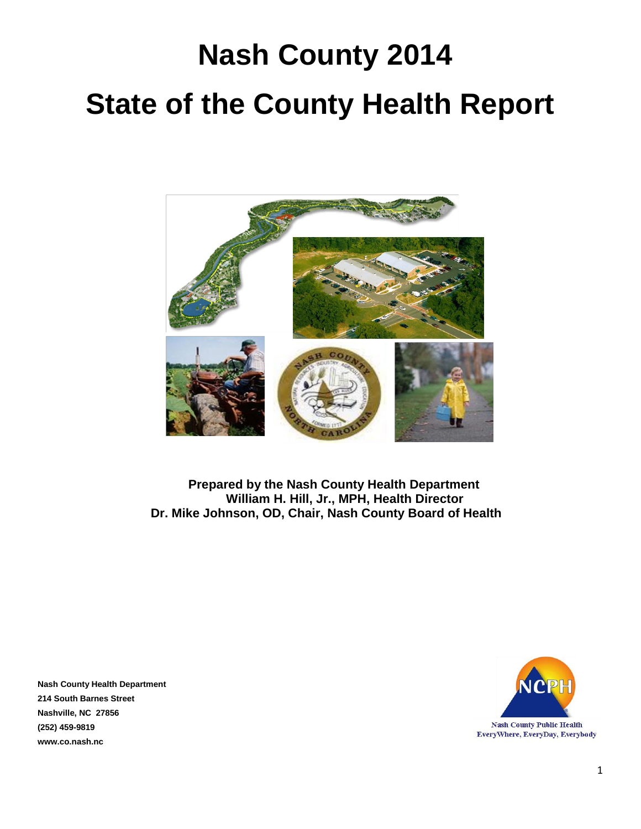# **Nash County 2014 State of the County Health Report**



**Prepared by the Nash County Health Department William H. Hill, Jr., MPH, Health Director Dr. Mike Johnson, OD, Chair, Nash County Board of Health**

**Nash County Health Department 214 South Barnes Street Nashville, NC 27856 (252) 459-9819 www.co.nash.nc**

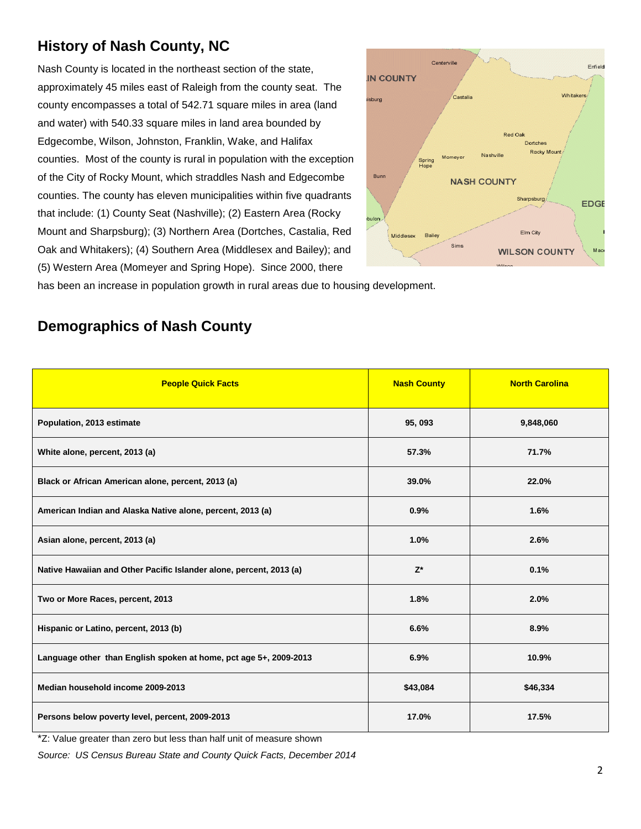# **History of Nash County, NC**

Nash County is located in the northeast section of the state, approximately 45 miles east of Raleigh from the county seat. The county encompasses a total of 542.71 square miles in area (land and water) with 540.33 square miles in land area bounded by Edgecombe, Wilson, Johnston, Franklin, Wake, and Halifax counties.Most of the county is rural in population with the exception of the City of Rocky Mount, which straddles Nash and Edgecombe counties. The county has eleven municipalities within five quadrants that include: (1) County Seat (Nashville); (2) Eastern Area (Rocky Mount and Sharpsburg); (3) Northern Area (Dortches, Castalia, Red Oak and Whitakers); (4) Southern Area (Middlesex and Bailey); and (5) Western Area (Momeyer and Spring Hope). Since 2000, there



has been an increase in population growth in rural areas due to housing development.

| <b>People Quick Facts</b>                                           | <b>Nash County</b> | <b>North Carolina</b> |
|---------------------------------------------------------------------|--------------------|-----------------------|
| Population, 2013 estimate                                           | 95, 093            | 9,848,060             |
| White alone, percent, 2013 (a)                                      | 57.3%              | 71.7%                 |
| Black or African American alone, percent, 2013 (a)                  | 39.0%              | 22.0%                 |
| American Indian and Alaska Native alone, percent, 2013 (a)          | 0.9%               | 1.6%                  |
| Asian alone, percent, 2013 (a)                                      | 1.0%               | 2.6%                  |
| Native Hawaiian and Other Pacific Islander alone, percent, 2013 (a) | $Z^*$              | 0.1%                  |
| Two or More Races, percent, 2013                                    | 1.8%               | 2.0%                  |
| Hispanic or Latino, percent, 2013 (b)                               | 6.6%               | 8.9%                  |
| Language other than English spoken at home, pct age 5+, 2009-2013   | 6.9%               | 10.9%                 |
| Median household income 2009-2013                                   | \$43,084           | \$46,334              |
| Persons below poverty level, percent, 2009-2013                     | 17.0%              | 17.5%                 |

## **Demographics of Nash County**

\*Z: Value greater than zero but less than half unit of measure shown

*Source: US Census Bureau State and County Quick Facts, December 2014*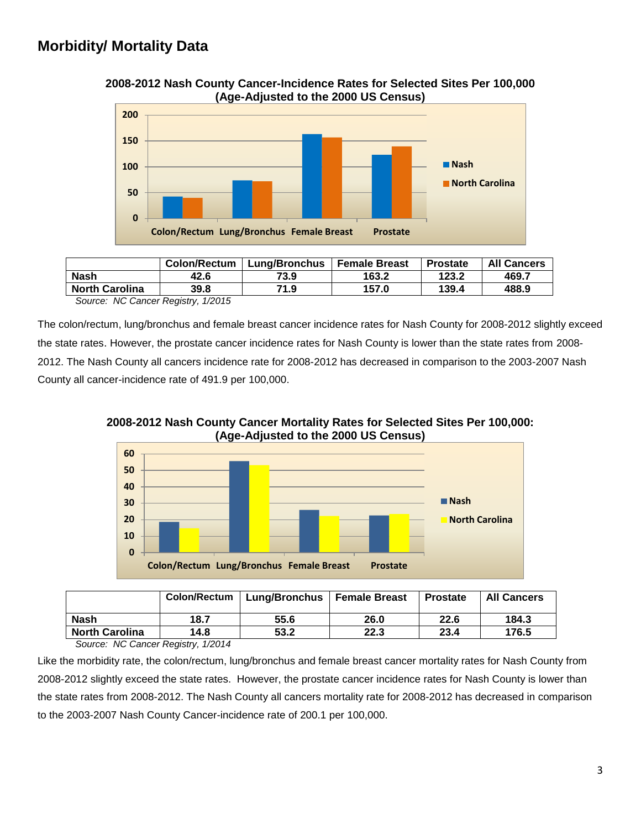



|                       | <b>Colon/Rectum</b> | Lung/Bronchus   Female Breast |       | <b>Prostate</b> | <b>All Cancers</b> |
|-----------------------|---------------------|-------------------------------|-------|-----------------|--------------------|
| <b>Nash</b>           | 42.6                | 73.9                          | 163.2 | 123.2           | 469.7              |
| <b>North Carolina</b> | 39.8                | 71.9                          | 157.0 | 139.4           | 488.9              |
| $\sim$<br>$\cdots$    |                     |                               |       |                 |                    |

*Source: NC Cancer Registry, 1/2015*

The colon/rectum, lung/bronchus and female breast cancer incidence rates for Nash County for 2008-2012 slightly exceed the state rates. However, the prostate cancer incidence rates for Nash County is lower than the state rates from 2008- 2012. The Nash County all cancers incidence rate for 2008-2012 has decreased in comparison to the 2003-2007 Nash County all cancer-incidence rate of 491.9 per 100,000.





|                       | <b>Colon/Rectum</b> | Lung/Bronchus   Female Breast |      | <b>Prostate</b> | <b>All Cancers</b> |
|-----------------------|---------------------|-------------------------------|------|-----------------|--------------------|
| Nash                  | 18.7                | 55.6                          | 26.0 | 22.6            | 184.3              |
| <b>North Carolina</b> | 14.8                | 53.2                          | 22.3 | 23.4            | 176.5              |

*Source: NC Cancer Registry, 1/2014*

Like the morbidity rate, the colon/rectum, lung/bronchus and female breast cancer mortality rates for Nash County from 2008-2012 slightly exceed the state rates. However, the prostate cancer incidence rates for Nash County is lower than the state rates from 2008-2012. The Nash County all cancers mortality rate for 2008-2012 has decreased in comparison to the 2003-2007 Nash County Cancer-incidence rate of 200.1 per 100,000.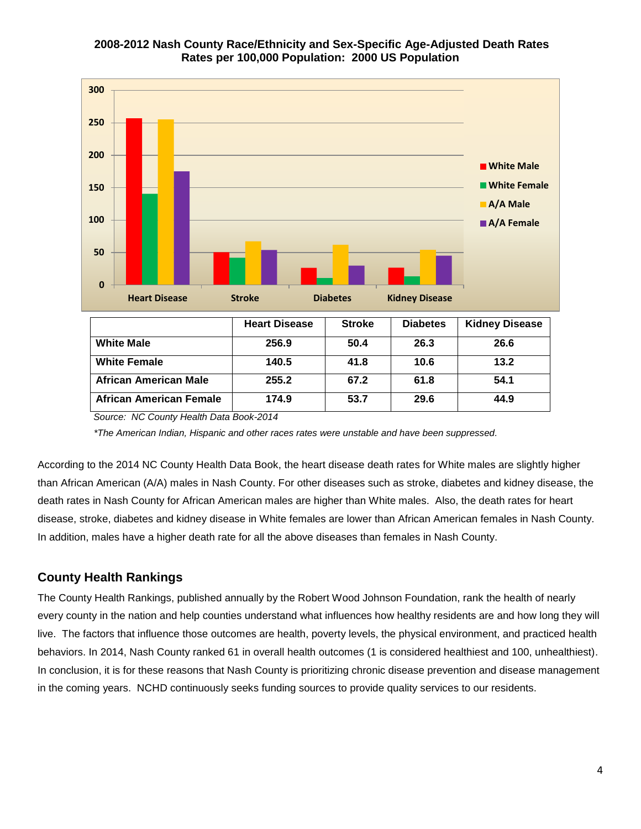

#### **2008-2012 Nash County Race/Ethnicity and Sex-Specific Age-Adjusted Death Rates Rates per 100,000 Population: 2000 US Population**

*Source: NC County Health Data Book-2014*

 *\*The American Indian, Hispanic and other races rates were unstable and have been suppressed.*

**African American Female 174.9 53.7 29.6 44.9**

According to the 2014 NC County Health Data Book, the heart disease death rates for White males are slightly higher than African American (A/A) males in Nash County. For other diseases such as stroke, diabetes and kidney disease, the death rates in Nash County for African American males are higher than White males. Also, the death rates for heart disease, stroke, diabetes and kidney disease in White females are lower than African American females in Nash County. In addition, males have a higher death rate for all the above diseases than females in Nash County.

#### **County Health Rankings**

The County Health Rankings, published annually by the Robert Wood Johnson Foundation, rank the health of nearly every county in the nation and help counties understand what influences how healthy residents are and how long they will live. The factors that influence those outcomes are health, poverty levels, the physical environment, and practiced health behaviors. In 2014, Nash County ranked 61 in overall health outcomes (1 is considered healthiest and 100, unhealthiest). In conclusion, it is for these reasons that Nash County is prioritizing chronic disease prevention and disease management in the coming years. NCHD continuously seeks funding sources to provide quality services to our residents.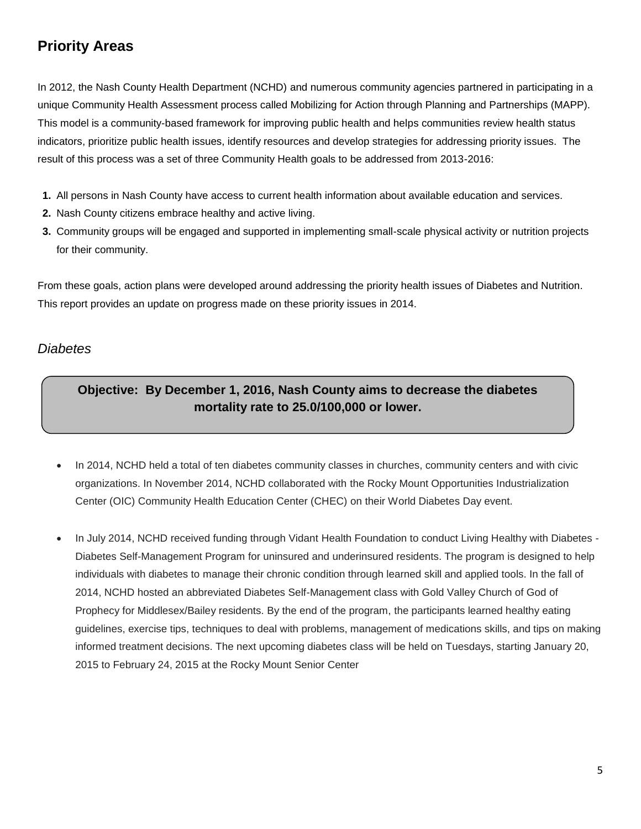# **Priority Areas**

In 2012, the Nash County Health Department (NCHD) and numerous community agencies partnered in participating in a unique Community Health Assessment process called Mobilizing for Action through Planning and Partnerships (MAPP). This model is a community-based framework for improving public health and helps communities review health status indicators, prioritize public health issues, identify resources and develop strategies for addressing priority issues. The result of this process was a set of three Community Health goals to be addressed from 2013-2016:

- **1.** All persons in Nash County have access to current health information about available education and services.
- **2.** Nash County citizens embrace healthy and active living.
- **3.** Community groups will be engaged and supported in implementing small-scale physical activity or nutrition projects for their community.

From these goals, action plans were developed around addressing the priority health issues of Diabetes and Nutrition. This report provides an update on progress made on these priority issues in 2014.

#### *Diabetes*

### **Objective: By December 1, 2016, Nash County aims to decrease the diabetes mortality rate to 25.0/100,000 or lower.**

- In 2014, NCHD held a total of ten diabetes community classes in churches, community centers and with civic organizations. In November 2014, NCHD collaborated with the Rocky Mount Opportunities Industrialization Center (OIC) Community Health Education Center (CHEC) on their World Diabetes Day event.
- In July 2014, NCHD received funding through Vidant Health Foundation to conduct Living Healthy with Diabetes Diabetes Self-Management Program for uninsured and underinsured residents. The program is designed to help individuals with diabetes to manage their chronic condition through learned skill and applied tools. In the fall of 2014, NCHD hosted an abbreviated Diabetes Self-Management class with Gold Valley Church of God of Prophecy for Middlesex/Bailey residents. By the end of the program, the participants learned healthy eating guidelines, exercise tips, techniques to deal with problems, management of medications skills, and tips on making informed treatment decisions. The next upcoming diabetes class will be held on Tuesdays, starting January 20, 2015 to February 24, 2015 at the Rocky Mount Senior Center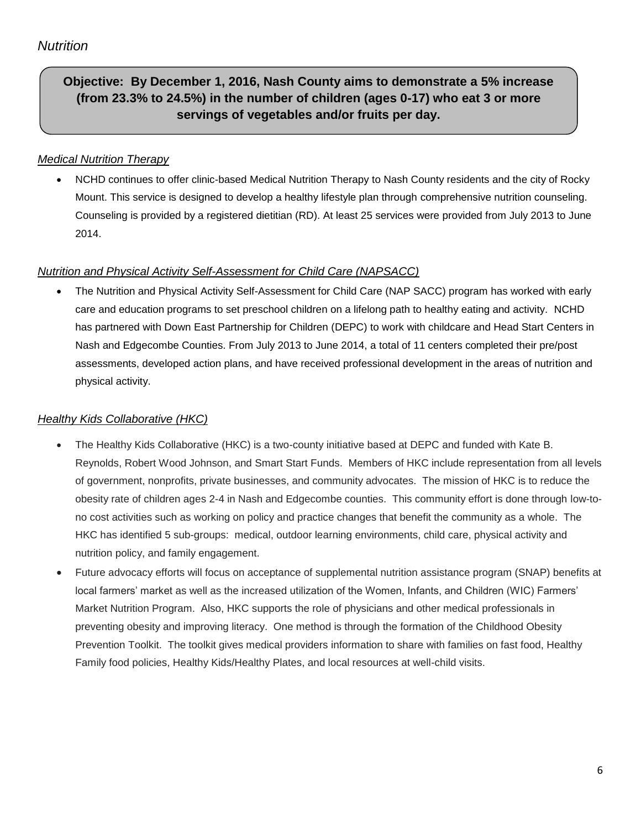## **Objective: By December 1, 2016, Nash County aims to demonstrate a 5% increase (from 23.3% to 24.5%) in the number of children (ages 0-17) who eat 3 or more servings of vegetables and/or fruits per day.**

#### *Medical Nutrition Therapy*

 NCHD continues to offer clinic-based Medical Nutrition Therapy to Nash County residents and the city of Rocky Mount. This service is designed to develop a healthy lifestyle plan through comprehensive nutrition counseling. Counseling is provided by a registered dietitian (RD). At least 25 services were provided from July 2013 to June 2014.

#### *Nutrition and Physical Activity Self-Assessment for Child Care (NAPSACC)*

 The Nutrition and Physical Activity Self-Assessment for Child Care (NAP SACC) program has worked with early care and education programs to set preschool children on a lifelong path to healthy eating and activity. NCHD has partnered with Down East Partnership for Children (DEPC) to work with childcare and Head Start Centers in Nash and Edgecombe Counties. From July 2013 to June 2014, a total of 11 centers completed their pre/post assessments, developed action plans, and have received professional development in the areas of nutrition and physical activity.

#### *Healthy Kids Collaborative (HKC)*

- The Healthy Kids Collaborative (HKC) is a two-county initiative based at DEPC and funded with Kate B. Reynolds, Robert Wood Johnson, and Smart Start Funds. Members of HKC include representation from all levels of government, nonprofits, private businesses, and community advocates. The mission of HKC is to reduce the obesity rate of children ages 2-4 in Nash and Edgecombe counties. This community effort is done through low-tono cost activities such as working on policy and practice changes that benefit the community as a whole. The HKC has identified 5 sub-groups: medical, outdoor learning environments, child care, physical activity and nutrition policy, and family engagement.
- Future advocacy efforts will focus on acceptance of supplemental nutrition assistance program (SNAP) benefits at local farmers' market as well as the increased utilization of the Women, Infants, and Children (WIC) Farmers' Market Nutrition Program. Also, HKC supports the role of physicians and other medical professionals in preventing obesity and improving literacy. One method is through the formation of the Childhood Obesity Prevention Toolkit. The toolkit gives medical providers information to share with families on fast food, Healthy Family food policies, Healthy Kids/Healthy Plates, and local resources at well-child visits.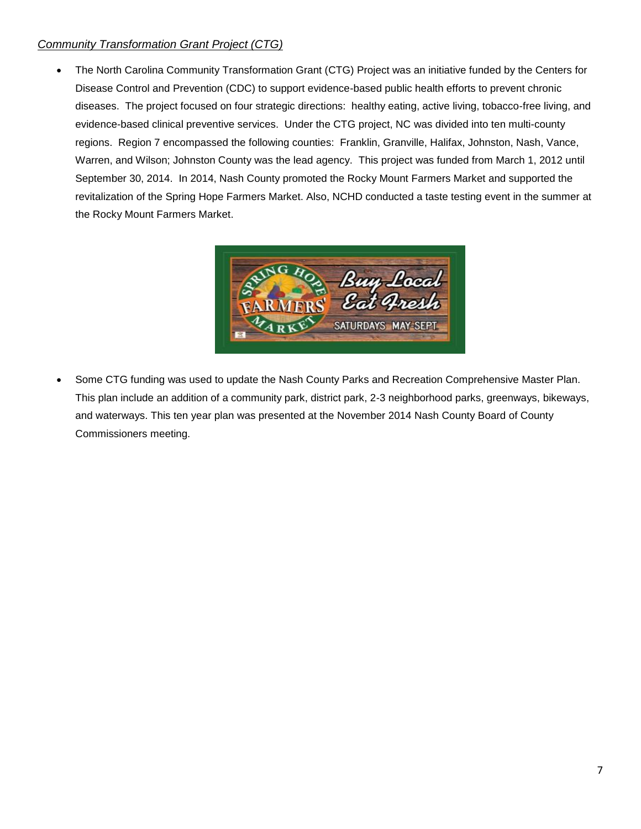#### *Community Transformation Grant Project (CTG)*

 The North Carolina Community Transformation Grant (CTG) Project was an initiative funded by the Centers for Disease Control and Prevention (CDC) to support evidence-based public health efforts to prevent chronic diseases. The project focused on four strategic directions: healthy eating, active living, tobacco-free living, and evidence-based clinical preventive services. Under the CTG project, NC was divided into ten multi-county regions. Region 7 encompassed the following counties: Franklin, Granville, Halifax, Johnston, Nash, Vance, Warren, and Wilson; Johnston County was the lead agency. This project was funded from March 1, 2012 until September 30, 2014. In 2014, Nash County promoted the Rocky Mount Farmers Market and supported the revitalization of the Spring Hope Farmers Market. Also, NCHD conducted a taste testing event in the summer at the Rocky Mount Farmers Market.



 Some CTG funding was used to update the Nash County Parks and Recreation Comprehensive Master Plan. This plan include an addition of a community park, district park, 2-3 neighborhood parks, greenways, bikeways, and waterways. This ten year plan was presented at the November 2014 Nash County Board of County Commissioners meeting.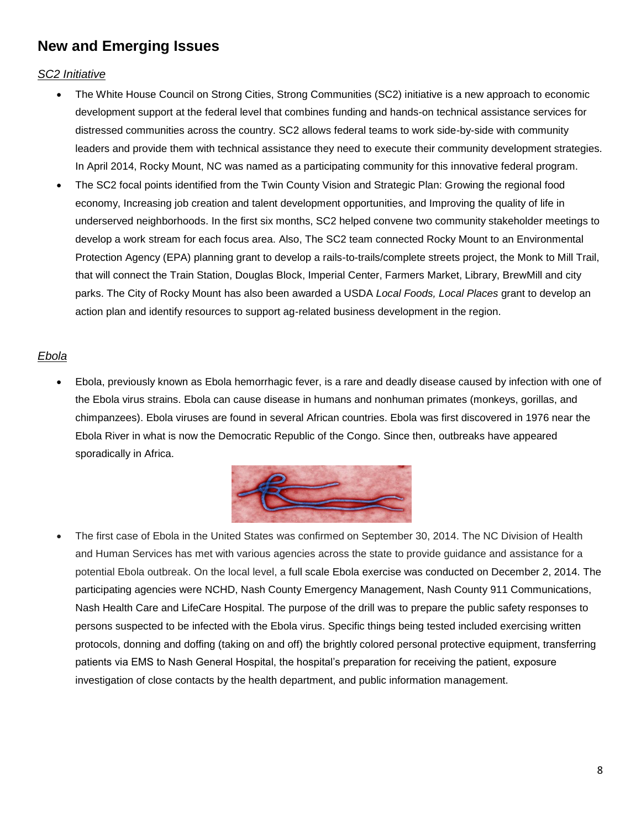## **New and Emerging Issues**

#### *SC2 Initiative*

- The White House Council on Strong Cities, Strong Communities (SC2) initiative is a new approach to economic development support at the federal level that combines funding and hands-on technical assistance services for distressed communities across the country. SC2 allows federal teams to work side-by-side with community leaders and provide them with technical assistance they need to execute their community development strategies. In April 2014, Rocky Mount, NC was named as a participating community for this innovative federal program.
- The SC2 focal points identified from the Twin County Vision and Strategic Plan: Growing the regional food economy, Increasing job creation and talent development opportunities, and Improving the quality of life in underserved neighborhoods. In the first six months, SC2 helped convene two community stakeholder meetings to develop a work stream for each focus area. Also, The SC2 team connected Rocky Mount to an Environmental Protection Agency (EPA) planning grant to develop a rails-to-trails/complete streets project, the Monk to Mill Trail, that will connect the Train Station, Douglas Block, Imperial Center, Farmers Market, Library, BrewMill and city parks. The City of Rocky Mount has also been awarded a USDA *Local Foods, Local Places* grant to develop an action plan and identify resources to support ag-related business development in the region.

#### *Ebola*

 Ebola, previously known as Ebola hemorrhagic fever, is a rare and deadly disease caused by infection with one of the Ebola virus strains. Ebola can cause disease in humans and nonhuman primates (monkeys, gorillas, and chimpanzees). Ebola viruses are found in several African countries. Ebola was first discovered in 1976 near the Ebola River in what is now the Democratic Republic of the Congo. Since then, outbreaks have appeared sporadically in Africa.



 The first case of Ebola in the United States was confirmed on September 30, 2014. The NC Division of Health and Human Services has met with various agencies across the state to provide guidance and assistance for a potential Ebola outbreak. On the local level, a full scale Ebola exercise was conducted on December 2, 2014. The participating agencies were NCHD, Nash County Emergency Management, Nash County 911 Communications, Nash Health Care and LifeCare Hospital. The purpose of the drill was to prepare the public safety responses to persons suspected to be infected with the Ebola virus. Specific things being tested included exercising written protocols, donning and doffing (taking on and off) the brightly colored personal protective equipment, transferring patients via EMS to Nash General Hospital, the hospital's preparation for receiving the patient, exposure investigation of close contacts by the health department, and public information management.